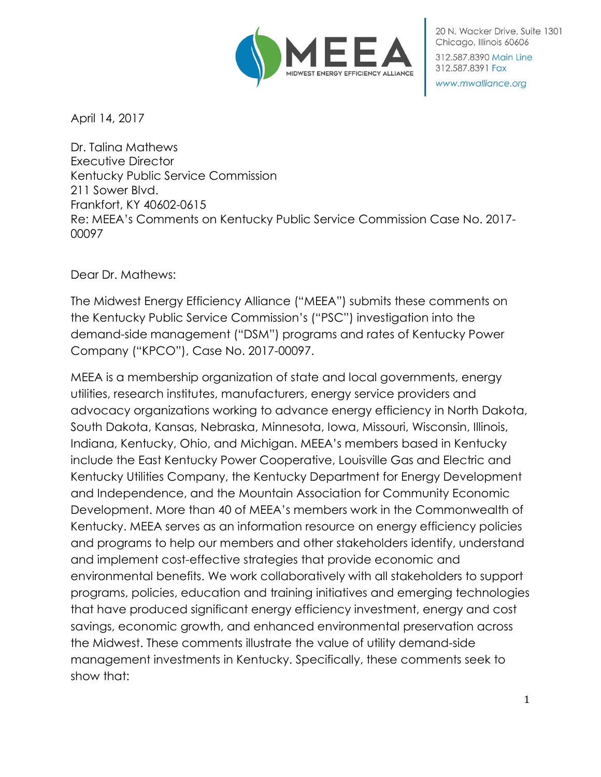

20 N. Wacker Drive, Suite 1301 Chicago, Illinois 60606 312,587,8390 Main Line 312.587.8391 Fax

www.mwalliance.org

April 14, 2017

Dr. Talina Mathews Executive Director Kentucky Public Service Commission 211 Sower Blvd. Frankfort, KY 40602-0615 Re: MEEA's Comments on Kentucky Public Service Commission Case No. 2017- 00097

Dear Dr. Mathews:

The Midwest Energy Efficiency Alliance ("MEEA") submits these comments on the Kentucky Public Service Commission's ("PSC") investigation into the demand-side management ("DSM") programs and rates of Kentucky Power Company ("KPCO"), Case No. 2017-00097.

MEEA is a membership organization of state and local governments, energy utilities, research institutes, manufacturers, energy service providers and advocacy organizations working to advance energy efficiency in North Dakota, South Dakota, Kansas, Nebraska, Minnesota, Iowa, Missouri, Wisconsin, Illinois, Indiana, Kentucky, Ohio, and Michigan. MEEA's members based in Kentucky include the East Kentucky Power Cooperative, Louisville Gas and Electric and Kentucky Utilities Company, the Kentucky Department for Energy Development and Independence, and the Mountain Association for Community Economic Development. More than 40 of MEEA's members work in the Commonwealth of Kentucky. MEEA serves as an information resource on energy efficiency policies and programs to help our members and other stakeholders identify, understand and implement cost-effective strategies that provide economic and environmental benefits. We work collaboratively with all stakeholders to support programs, policies, education and training initiatives and emerging technologies that have produced significant energy efficiency investment, energy and cost savings, economic growth, and enhanced environmental preservation across the Midwest. These comments illustrate the value of utility demand-side management investments in Kentucky. Specifically, these comments seek to show that: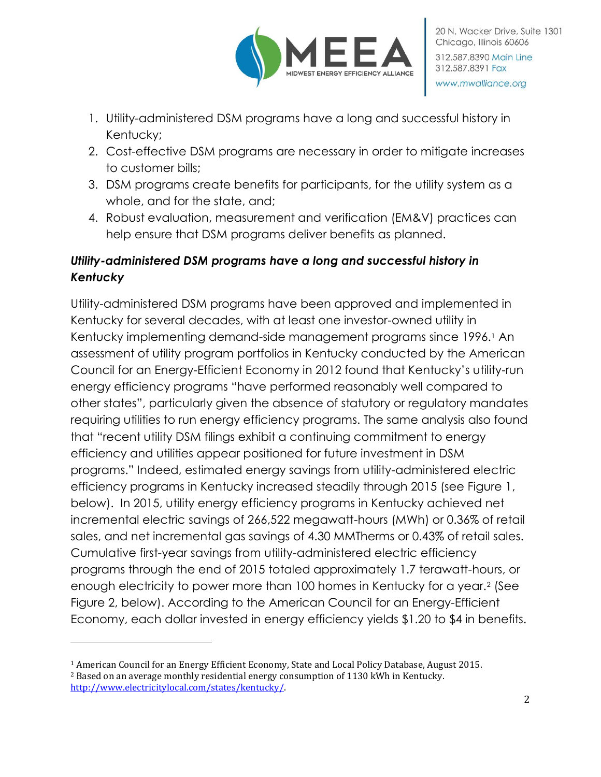

- 1. Utility-administered DSM programs have a long and successful history in Kentucky;
- 2. Cost-effective DSM programs are necessary in order to mitigate increases to customer bills;
- 3. DSM programs create benefits for participants, for the utility system as a whole, and for the state, and;
- 4. Robust evaluation, measurement and verification (EM&V) practices can help ensure that DSM programs deliver benefits as planned.

# *Utility-administered DSM programs have a long and successful history in Kentucky*

Utility-administered DSM programs have been approved and implemented in Kentucky for several decades, with at least one investor-owned utility in Kentucky implementing demand-side management programs since 1996.<sup>1</sup> An assessment of utility program portfolios in Kentucky conducted by the American Council for an Energy-Efficient Economy in 2012 found that Kentucky's utility-run energy efficiency programs "have performed reasonably well compared to other states", particularly given the absence of statutory or regulatory mandates requiring utilities to run energy efficiency programs. The same analysis also found that "recent utility DSM filings exhibit a continuing commitment to energy efficiency and utilities appear positioned for future investment in DSM programs." Indeed, estimated energy savings from utility-administered electric efficiency programs in Kentucky increased steadily through 2015 (see Figure 1, below). In 2015, utility energy efficiency programs in Kentucky achieved net incremental electric savings of 266,522 megawatt-hours (MWh) or 0.36% of retail sales, and net incremental gas savings of 4.30 MMTherms or 0.43% of retail sales. Cumulative first-year savings from utility-administered electric efficiency programs through the end of 2015 totaled approximately 1.7 terawatt-hours, or enough electricity to power more than 100 homes in Kentucky for a year.<sup>2</sup> (See Figure 2, below). According to the American Council for an Energy-Efficient Economy, each dollar invested in energy efficiency yields \$1.20 to \$4 in benefits.

l

<sup>1</sup> American Council for an Energy Efficient Economy, State and Local Policy Database, August 2015. <sup>2</sup> Based on an average monthly residential energy consumption of 1130 kWh in Kentucky. [http://www.electricitylocal.com/states/kentucky/.](http://www.electricitylocal.com/states/kentucky/)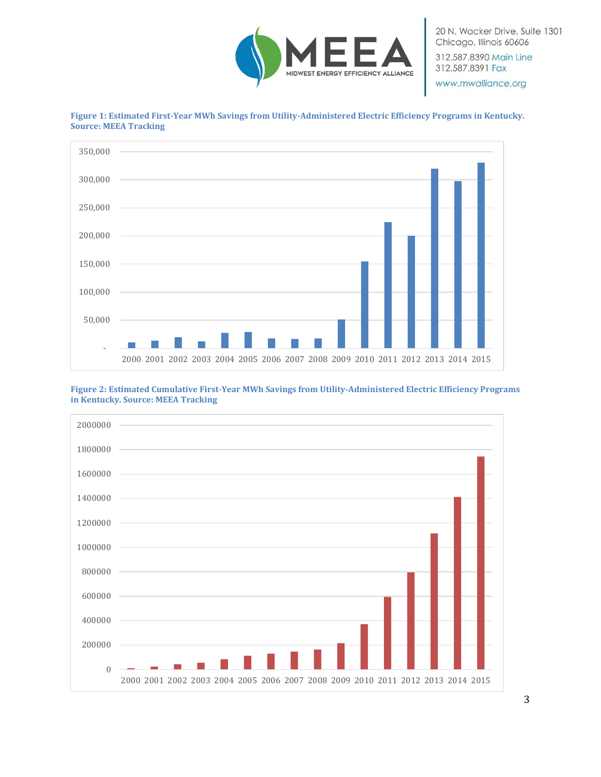

20 N. Wacker Drive, Suite 1301 Chicago, Illinois 60606 312.587.8390 Main Line 312.587.8391 Fax

www.mwalliance.org



**Figure 1: Estimated First-Year MWh Savings from Utility-Administered Electric Efficiency Programs in Kentucky. Source: MEEA Tracking**

**Figure 2: Estimated Cumulative First-Year MWh Savings from Utility-Administered Electric Efficiency Programs in Kentucky. Source: MEEA Tracking**

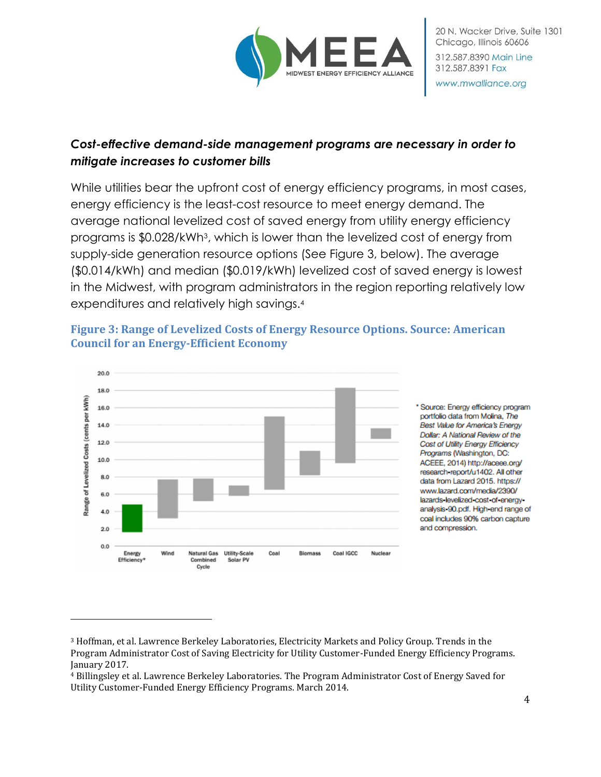

#### *Cost-effective demand-side management programs are necessary in order to mitigate increases to customer bills*

While utilities bear the upfront cost of energy efficiency programs, in most cases, energy efficiency is the least-cost resource to meet energy demand. The average national levelized cost of saved energy from utility energy efficiency programs is \$0.028/kWh<sup>3</sup> , which is lower than the levelized cost of energy from supply-side generation resource options (See Figure 3, below). The average (\$0.014/kWh) and median (\$0.019/kWh) levelized cost of saved energy is lowest in the Midwest, with program administrators in the region reporting relatively low expenditures and relatively high savings.<sup>4</sup>



 $\overline{\phantom{0}}$ 

#### **Figure 3: Range of Levelized Costs of Energy Resource Options. Source: American Council for an Energy-Efficient Economy**

\* Source: Energy efficiency program portfolio data from Molina, The Best Value for America's Energy Dollar: A National Review of the Cost of Utility Energy Efficiency Programs (Washington, DC: ACEEE, 2014) http://aceee.org/ research-report/u1402. All other data from Lazard 2015. https:// www.lazard.com/media/2390/ lazards-levelized-cost-of-energyanalysis 90.pdf. High end range of coal includes 90% carbon capture and compression.

<sup>3</sup> Hoffman, et al. Lawrence Berkeley Laboratories, Electricity Markets and Policy Group. Trends in the Program Administrator Cost of Saving Electricity for Utility Customer-Funded Energy Efficiency Programs. January 2017.

<sup>4</sup> Billingsley et al. Lawrence Berkeley Laboratories. The Program Administrator Cost of Energy Saved for Utility Customer-Funded Energy Efficiency Programs. March 2014.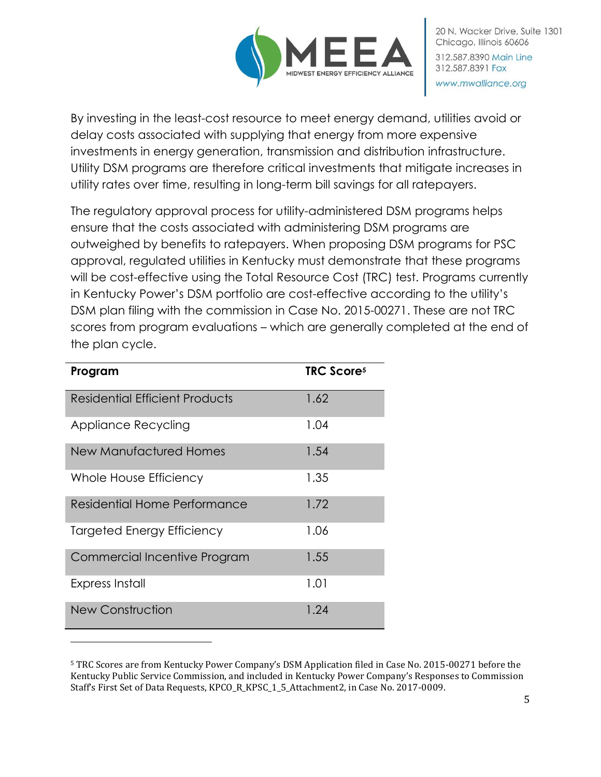

By investing in the least-cost resource to meet energy demand, utilities avoid or delay costs associated with supplying that energy from more expensive investments in energy generation, transmission and distribution infrastructure. Utility DSM programs are therefore critical investments that mitigate increases in utility rates over time, resulting in long-term bill savings for all ratepayers.

The regulatory approval process for utility-administered DSM programs helps ensure that the costs associated with administering DSM programs are outweighed by benefits to ratepayers. When proposing DSM programs for PSC approval, regulated utilities in Kentucky must demonstrate that these programs will be cost-effective using the Total Resource Cost (TRC) test. Programs currently in Kentucky Power's DSM portfolio are cost-effective according to the utility's DSM plan filing with the commission in Case No. 2015-00271. These are not TRC scores from program evaluations – which are generally completed at the end of the plan cycle.

| Program                             | <b>TRC Scores</b> |
|-------------------------------------|-------------------|
| Residential Efficient Products      | 1.62              |
| Appliance Recycling                 | 1.04              |
| New Manufactured Homes              | 1.54              |
| Whole House Efficiency              | 1.35              |
| Residential Home Performance        | 1.72              |
| <b>Targeted Energy Efficiency</b>   | 1.06              |
| <b>Commercial Incentive Program</b> | 1.55              |
| Express Install                     | 1.01              |
| <b>New Construction</b>             | 1.24              |

l

<sup>5</sup> TRC Scores are from Kentucky Power Company's DSM Application filed in Case No. 2015-00271 before the Kentucky Public Service Commission, and included in Kentucky Power Company's Responses to Commission Staff's First Set of Data Requests, KPCO\_R\_KPSC\_1\_5\_Attachment2, in Case No. 2017-0009.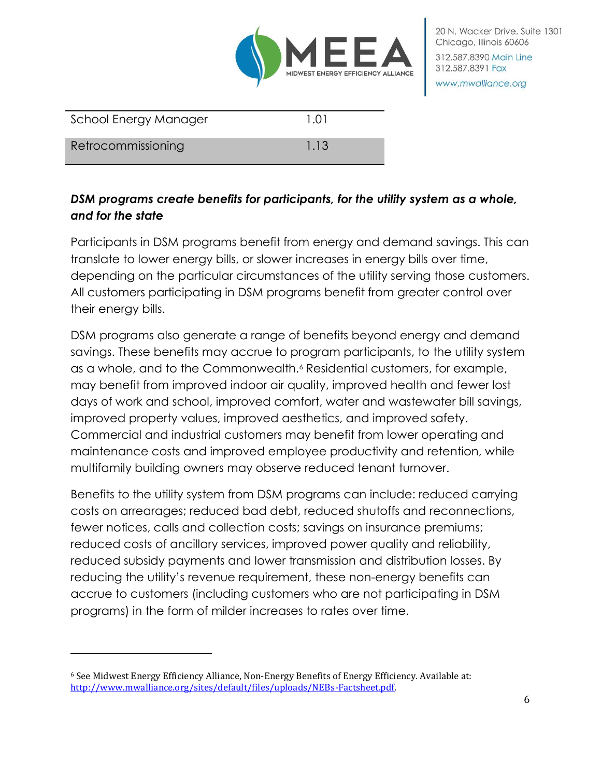

| School Energy Manager | 1.01 |
|-----------------------|------|
| Retrocommissioning    | 1.13 |

### *DSM programs create benefits for participants, for the utility system as a whole, and for the state*

Participants in DSM programs benefit from energy and demand savings. This can translate to lower energy bills, or slower increases in energy bills over time, depending on the particular circumstances of the utility serving those customers. All customers participating in DSM programs benefit from greater control over their energy bills.

DSM programs also generate a range of benefits beyond energy and demand savings. These benefits may accrue to program participants, to the utility system as a whole, and to the Commonwealth.<sup>6</sup> Residential customers, for example, may benefit from improved indoor air quality, improved health and fewer lost days of work and school, improved comfort, water and wastewater bill savings, improved property values, improved aesthetics, and improved safety. Commercial and industrial customers may benefit from lower operating and maintenance costs and improved employee productivity and retention, while multifamily building owners may observe reduced tenant turnover.

Benefits to the utility system from DSM programs can include: reduced carrying costs on arrearages; reduced bad debt, reduced shutoffs and reconnections, fewer notices, calls and collection costs; savings on insurance premiums; reduced costs of ancillary services, improved power quality and reliability, reduced subsidy payments and lower transmission and distribution losses. By reducing the utility's revenue requirement, these non-energy benefits can accrue to customers (including customers who are not participating in DSM programs) in the form of milder increases to rates over time.

 $\overline{a}$ 

<sup>6</sup> See Midwest Energy Efficiency Alliance, Non-Energy Benefits of Energy Efficiency. Available at: [http://www.mwalliance.org/sites/default/files/uploads/NEBs-Factsheet.pdf.](http://www.mwalliance.org/sites/default/files/uploads/NEBs-Factsheet.pdf)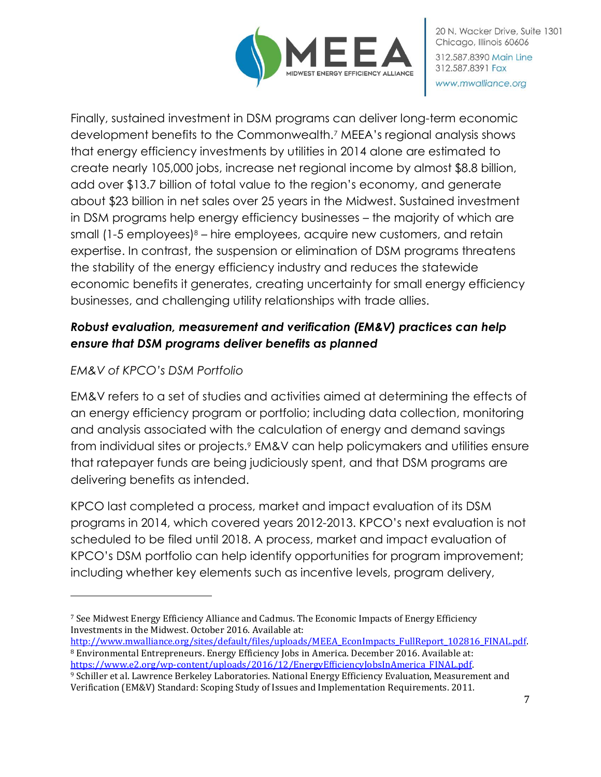

Finally, sustained investment in DSM programs can deliver long-term economic development benefits to the Commonwealth.<sup>7</sup> MEEA's regional analysis shows that energy efficiency investments by utilities in 2014 alone are estimated to create nearly 105,000 jobs, increase net regional income by almost \$8.8 billion, add over \$13.7 billion of total value to the region's economy, and generate about \$23 billion in net sales over 25 years in the Midwest. Sustained investment in DSM programs help energy efficiency businesses – the majority of which are small  $(1-5 \text{ employees})^8$  – hire employees, acquire new customers, and retain expertise. In contrast, the suspension or elimination of DSM programs threatens the stability of the energy efficiency industry and reduces the statewide economic benefits it generates, creating uncertainty for small energy efficiency businesses, and challenging utility relationships with trade allies.

# *Robust evaluation, measurement and verification (EM&V) practices can help ensure that DSM programs deliver benefits as planned*

### *EM&V of KPCO's DSM Portfolio*

l

EM&V refers to a set of studies and activities aimed at determining the effects of an energy efficiency program or portfolio; including data collection, monitoring and analysis associated with the calculation of energy and demand savings from individual sites or projects.<sup>9</sup> EM&V can help policymakers and utilities ensure that ratepayer funds are being judiciously spent, and that DSM programs are delivering benefits as intended.

KPCO last completed a process, market and impact evaluation of its DSM programs in 2014, which covered years 2012-2013. KPCO's next evaluation is not scheduled to be filed until 2018. A process, market and impact evaluation of KPCO's DSM portfolio can help identify opportunities for program improvement; including whether key elements such as incentive levels, program delivery,

<sup>7</sup> See Midwest Energy Efficiency Alliance and Cadmus. The Economic Impacts of Energy Efficiency Investments in the Midwest. October 2016. Available at:

http://www.mwalliance.org/sites/default/files/uploads/MEEA\_EconImpacts\_FullReport\_102816\_FINAL.pdf <sup>8</sup> Environmental Entrepreneurs. Energy Efficiency Jobs in America. December 2016. Available at: [https://www.e2.org/wp-content/uploads/2016/12/EnergyEfficiencyJobsInAmerica\\_FINAL.pdf.](https://www.e2.org/wp-content/uploads/2016/12/EnergyEfficiencyJobsInAmerica_FINAL.pdf)

<sup>9</sup> Schiller et al. Lawrence Berkeley Laboratories. National Energy Efficiency Evaluation, Measurement and Verification (EM&V) Standard: Scoping Study of Issues and Implementation Requirements. 2011.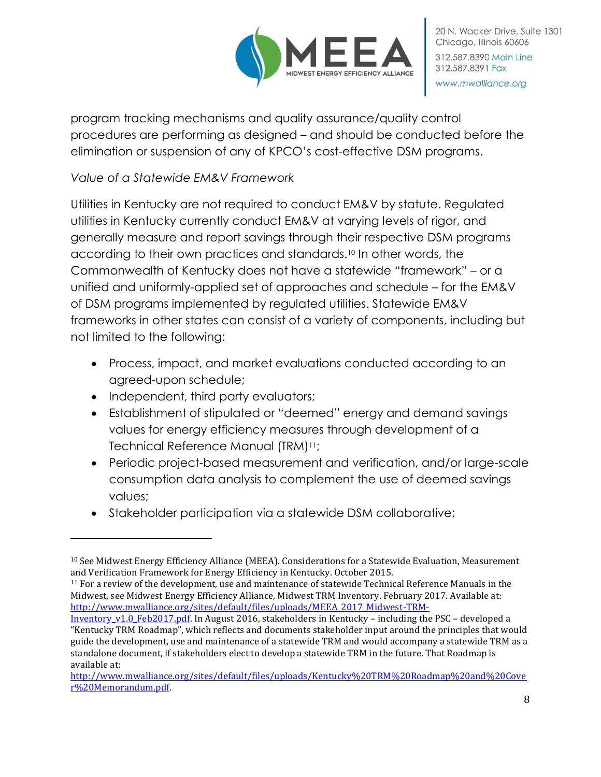

program tracking mechanisms and quality assurance/quality control procedures are performing as designed – and should be conducted before the elimination or suspension of any of KPCO's cost-effective DSM programs.

### *Value of a Statewide EM&V Framework*

Utilities in Kentucky are not required to conduct EM&V by statute. Regulated utilities in Kentucky currently conduct EM&V at varying levels of rigor, and generally measure and report savings through their respective DSM programs according to their own practices and standards.<sup>10</sup> In other words, the Commonwealth of Kentucky does not have a statewide "framework" – or a unified and uniformly-applied set of approaches and schedule – for the EM&V of DSM programs implemented by regulated utilities. Statewide EM&V frameworks in other states can consist of a variety of components, including but not limited to the following:

- Process, impact, and market evaluations conducted according to an agreed-upon schedule;
- Independent, third party evaluators;

 $\overline{\phantom{0}}$ 

- Establishment of stipulated or "deemed" energy and demand savings values for energy efficiency measures through development of a Technical Reference Manual (TRM)11;
- Periodic project-based measurement and verification, and/or large-scale consumption data analysis to complement the use of deemed savings values;
- Stakeholder participation via a statewide DSM collaborative;

<sup>10</sup> See Midwest Energy Efficiency Alliance (MEEA). Considerations for a Statewide Evaluation, Measurement and Verification Framework for Energy Efficiency in Kentucky. October 2015.

<sup>11</sup> For a review of the development, use and maintenance of statewide Technical Reference Manuals in the Midwest, see Midwest Energy Efficiency Alliance, Midwest TRM Inventory. February 2017. Available at: [http://www.mwalliance.org/sites/default/files/uploads/MEEA\\_2017\\_Midwest-TRM-](http://www.mwalliance.org/sites/default/files/uploads/MEEA_2017_Midwest-TRM-Inventory_v1.0_Feb2017.pdf)

[Inventory\\_v1.0\\_Feb2017.pdf.](http://www.mwalliance.org/sites/default/files/uploads/MEEA_2017_Midwest-TRM-Inventory_v1.0_Feb2017.pdf) In August 2016, stakeholders in Kentucky – including the PSC – developed a "Kentucky TRM Roadmap", which reflects and documents stakeholder input around the principles that would guide the development, use and maintenance of a statewide TRM and would accompany a statewide TRM as a standalone document, if stakeholders elect to develop a statewide TRM in the future. That Roadmap is available at:

[http://www.mwalliance.org/sites/default/files/uploads/Kentucky%20TRM%20Roadmap%20and%20Cove](http://www.mwalliance.org/sites/default/files/uploads/Kentucky%20TRM%20Roadmap%20and%20Cover%20Memorandum.pdf) [r%20Memorandum.pdf.](http://www.mwalliance.org/sites/default/files/uploads/Kentucky%20TRM%20Roadmap%20and%20Cover%20Memorandum.pdf)